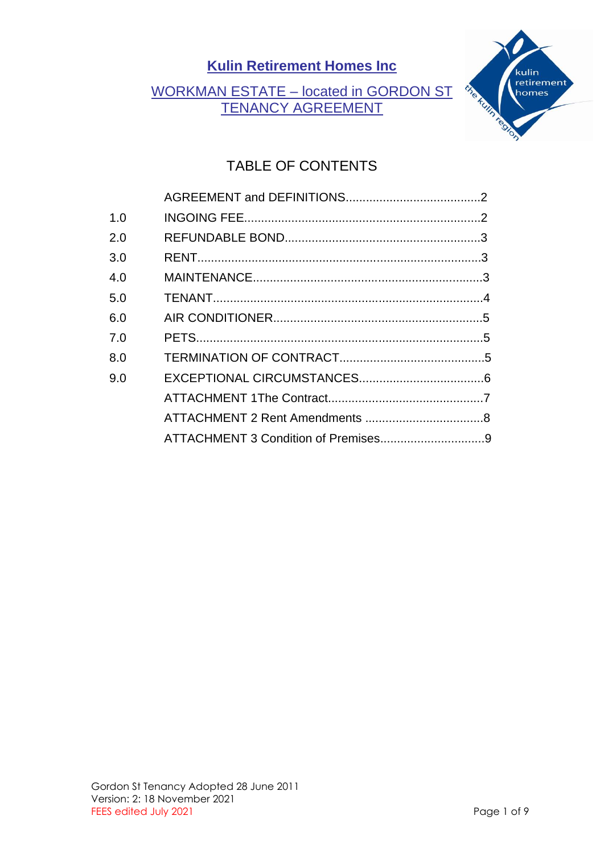## WORKMAN ESTATE – located in GORDON ST TENANCY AGREEMENT



# TABLE OF CONTENTS

| 1.0 |  |
|-----|--|
| 2.0 |  |
| 3.0 |  |
| 4.0 |  |
| 5.0 |  |
| 6.0 |  |
| 7.0 |  |
| 8.0 |  |
| 9.0 |  |
|     |  |
|     |  |
|     |  |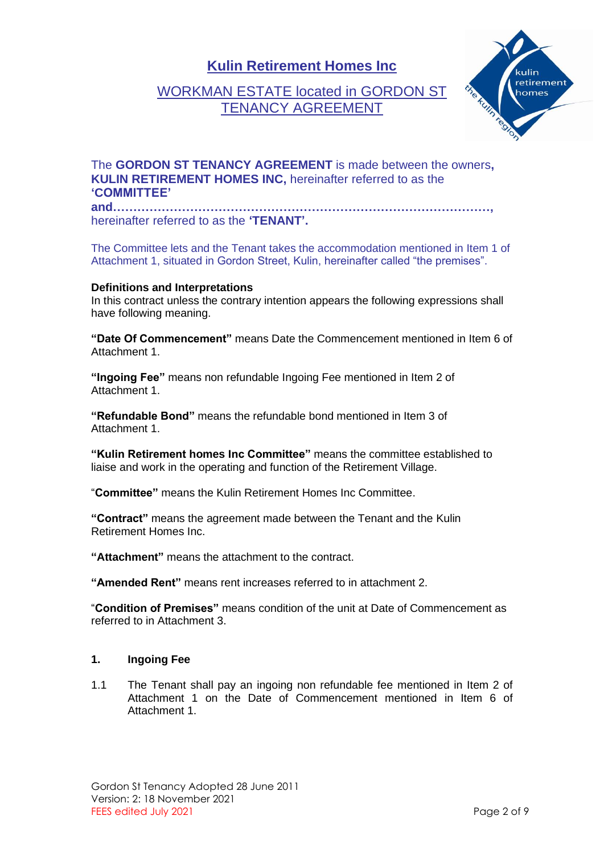### WORKMAN ESTATE located in GORDON ST TENANCY AGREEMENT



#### The **GORDON ST TENANCY AGREEMENT** is made between the owners**, KULIN RETIREMENT HOMES INC,** hereinafter referred to as the **'COMMITTEE'**

**and…………………………………………………………………………………,** hereinafter referred to as the **'TENANT'.**

The Committee lets and the Tenant takes the accommodation mentioned in Item 1 of Attachment 1, situated in Gordon Street, Kulin, hereinafter called "the premises".

#### **Definitions and Interpretations**

In this contract unless the contrary intention appears the following expressions shall have following meaning.

**"Date Of Commencement"** means Date the Commencement mentioned in Item 6 of Attachment 1.

**"Ingoing Fee"** means non refundable Ingoing Fee mentioned in Item 2 of Attachment 1.

**"Refundable Bond"** means the refundable bond mentioned in Item 3 of Attachment 1.

**"Kulin Retirement homes Inc Committee"** means the committee established to liaise and work in the operating and function of the Retirement Village.

"**Committee"** means the Kulin Retirement Homes Inc Committee.

**"Contract"** means the agreement made between the Tenant and the Kulin Retirement Homes Inc.

**"Attachment"** means the attachment to the contract.

**"Amended Rent"** means rent increases referred to in attachment 2.

"**Condition of Premises"** means condition of the unit at Date of Commencement as referred to in Attachment 3.

#### **1. Ingoing Fee**

1.1 The Tenant shall pay an ingoing non refundable fee mentioned in Item 2 of Attachment 1 on the Date of Commencement mentioned in Item 6 of Attachment 1.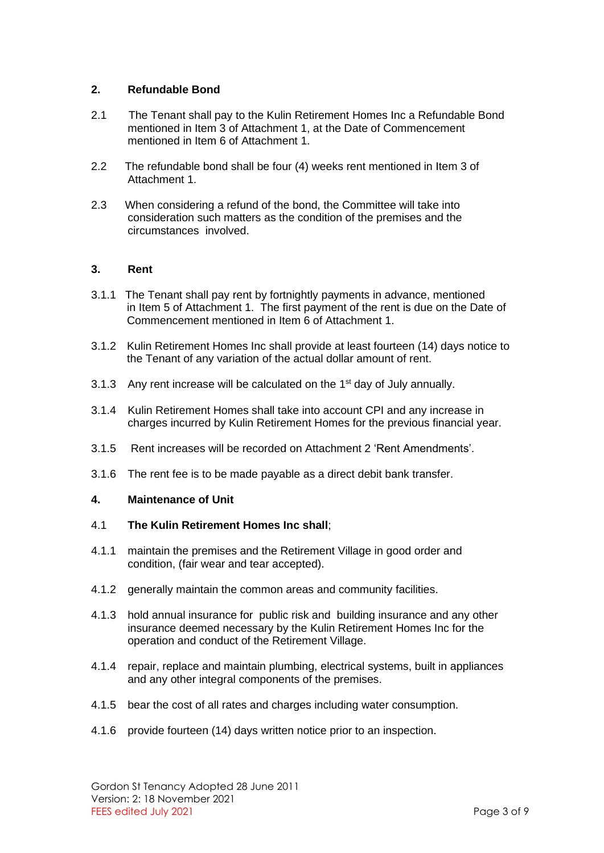#### **2. Refundable Bond**

- 2.1 The Tenant shall pay to the Kulin Retirement Homes Inc a Refundable Bond mentioned in Item 3 of Attachment 1, at the Date of Commencement mentioned in Item 6 of Attachment 1.
- 2.2 The refundable bond shall be four (4) weeks rent mentioned in Item 3 of Attachment 1.
- 2.3 When considering a refund of the bond, the Committee will take into consideration such matters as the condition of the premises and the circumstances involved.

#### **3. Rent**

- 3.1.1 The Tenant shall pay rent by fortnightly payments in advance, mentioned in Item 5 of Attachment 1. The first payment of the rent is due on the Date of Commencement mentioned in Item 6 of Attachment 1.
- 3.1.2 Kulin Retirement Homes Inc shall provide at least fourteen (14) days notice to the Tenant of any variation of the actual dollar amount of rent.
- 3.1.3 Any rent increase will be calculated on the  $1<sup>st</sup>$  day of July annually.
- 3.1.4 Kulin Retirement Homes shall take into account CPI and any increase in charges incurred by Kulin Retirement Homes for the previous financial year.
- 3.1.5 Rent increases will be recorded on Attachment 2 'Rent Amendments'.
- 3.1.6 The rent fee is to be made payable as a direct debit bank transfer.

#### **4. Maintenance of Unit**

#### 4.1 **The Kulin Retirement Homes Inc shall**;

- 4.1.1 maintain the premises and the Retirement Village in good order and condition, (fair wear and tear accepted).
- 4.1.2 generally maintain the common areas and community facilities.
- 4.1.3 hold annual insurance for public risk and building insurance and any other insurance deemed necessary by the Kulin Retirement Homes Inc for the operation and conduct of the Retirement Village.
- 4.1.4 repair, replace and maintain plumbing, electrical systems, built in appliances and any other integral components of the premises.
- 4.1.5 bear the cost of all rates and charges including water consumption.
- 4.1.6 provide fourteen (14) days written notice prior to an inspection.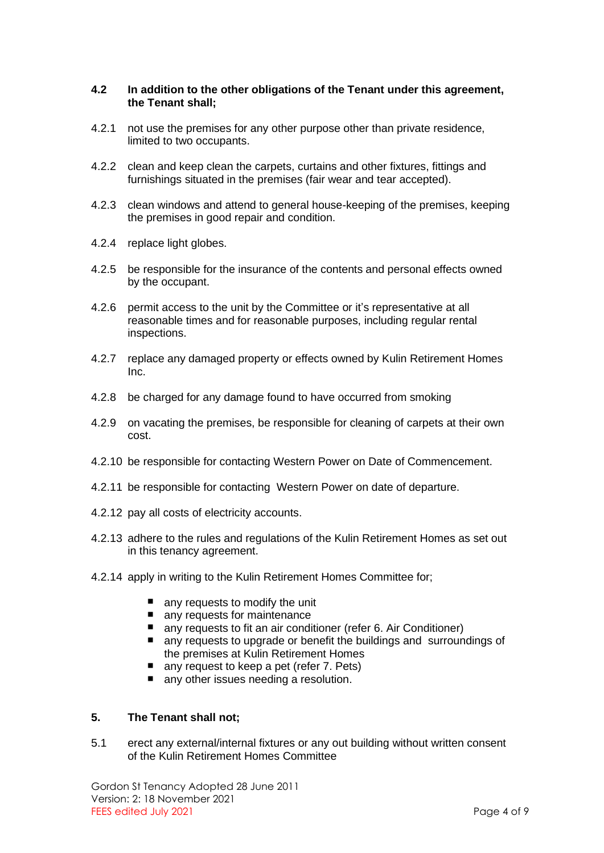#### **4.2 In addition to the other obligations of the Tenant under this agreement, the Tenant shall;**

- 4.2.1 not use the premises for any other purpose other than private residence, limited to two occupants.
- 4.2.2 clean and keep clean the carpets, curtains and other fixtures, fittings and furnishings situated in the premises (fair wear and tear accepted).
- 4.2.3 clean windows and attend to general house-keeping of the premises, keeping the premises in good repair and condition.
- 4.2.4 replace light globes.
- 4.2.5 be responsible for the insurance of the contents and personal effects owned by the occupant.
- 4.2.6 permit access to the unit by the Committee or it's representative at all reasonable times and for reasonable purposes, including regular rental inspections.
- 4.2.7 replace any damaged property or effects owned by Kulin Retirement Homes Inc.
- 4.2.8 be charged for any damage found to have occurred from smoking
- 4.2.9 on vacating the premises, be responsible for cleaning of carpets at their own cost.
- 4.2.10 be responsible for contacting Western Power on Date of Commencement.
- 4.2.11 be responsible for contacting Western Power on date of departure.
- 4.2.12 pay all costs of electricity accounts.
- 4.2.13 adhere to the rules and regulations of the Kulin Retirement Homes as set out in this tenancy agreement.
- 4.2.14 apply in writing to the Kulin Retirement Homes Committee for;
	- any requests to modify the unit
	- any requests for maintenance
	- any requests to fit an air conditioner (refer 6. Air Conditioner)
	- any requests to upgrade or benefit the buildings and surroundings of the premises at Kulin Retirement Homes
	- $\blacksquare$ any request to keep a pet (refer 7. Pets)
	- any other issues needing a resolution.

#### **5. The Tenant shall not;**

5.1 erect any external/internal fixtures or any out building without written consent of the Kulin Retirement Homes Committee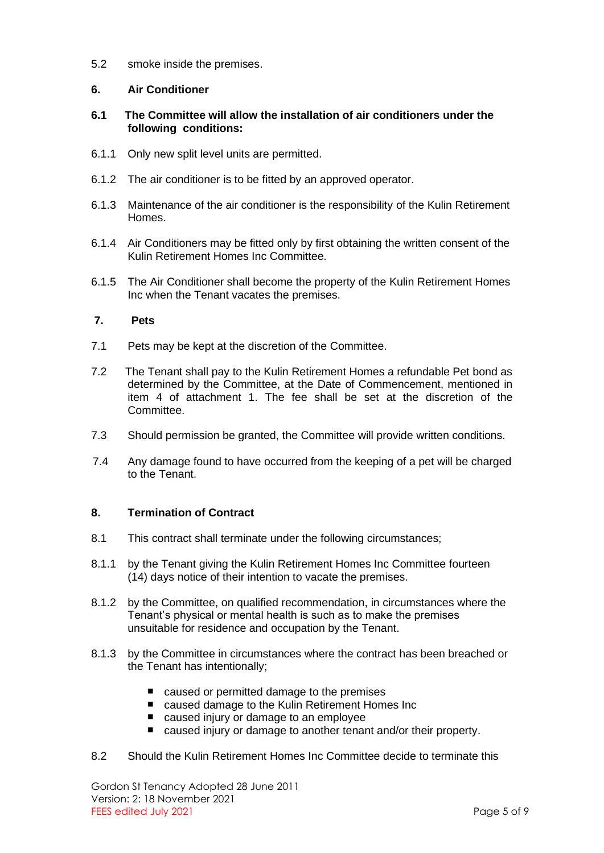5.2 smoke inside the premises.

#### **6. Air Conditioner**

#### **6.1 The Committee will allow the installation of air conditioners under the following conditions:**

- 6.1.1 Only new split level units are permitted.
- 6.1.2 The air conditioner is to be fitted by an approved operator.
- 6.1.3 Maintenance of the air conditioner is the responsibility of the Kulin Retirement Homes.
- 6.1.4 Air Conditioners may be fitted only by first obtaining the written consent of the Kulin Retirement Homes Inc Committee.
- 6.1.5 The Air Conditioner shall become the property of the Kulin Retirement Homes Inc when the Tenant vacates the premises.

#### **7. Pets**

- 7.1 Pets may be kept at the discretion of the Committee.
- 7.2 The Tenant shall pay to the Kulin Retirement Homes a refundable Pet bond as determined by the Committee, at the Date of Commencement, mentioned in item 4 of attachment 1. The fee shall be set at the discretion of the Committee.
- 7.3 Should permission be granted, the Committee will provide written conditions.
- 7.4 Any damage found to have occurred from the keeping of a pet will be charged to the Tenant.

#### **8. Termination of Contract**

- 8.1 This contract shall terminate under the following circumstances;
- 8.1.1 by the Tenant giving the Kulin Retirement Homes Inc Committee fourteen (14) days notice of their intention to vacate the premises.
- 8.1.2 by the Committee, on qualified recommendation, in circumstances where the Tenant's physical or mental health is such as to make the premises unsuitable for residence and occupation by the Tenant.
- 8.1.3 by the Committee in circumstances where the contract has been breached or the Tenant has intentionally;
	- caused or permitted damage to the premises
	- caused damage to the Kulin Retirement Homes Inc
	- caused injury or damage to an employee
	- caused injury or damage to another tenant and/or their property.
- 8.2 Should the Kulin Retirement Homes Inc Committee decide to terminate this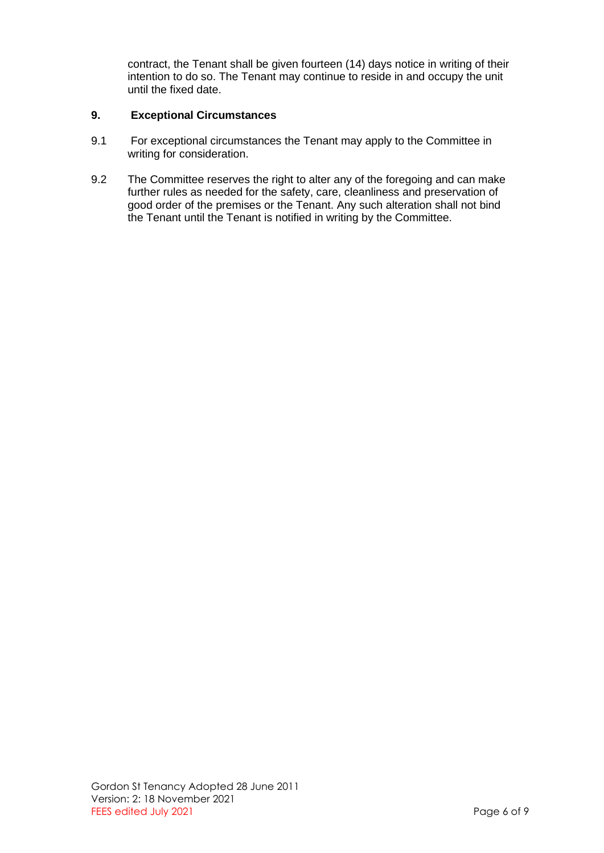contract, the Tenant shall be given fourteen (14) days notice in writing of their intention to do so. The Tenant may continue to reside in and occupy the unit until the fixed date.

#### **9. Exceptional Circumstances**

- 9.1 For exceptional circumstances the Tenant may apply to the Committee in writing for consideration.
- 9.2 The Committee reserves the right to alter any of the foregoing and can make further rules as needed for the safety, care, cleanliness and preservation of good order of the premises or the Tenant. Any such alteration shall not bind the Tenant until the Tenant is notified in writing by the Committee.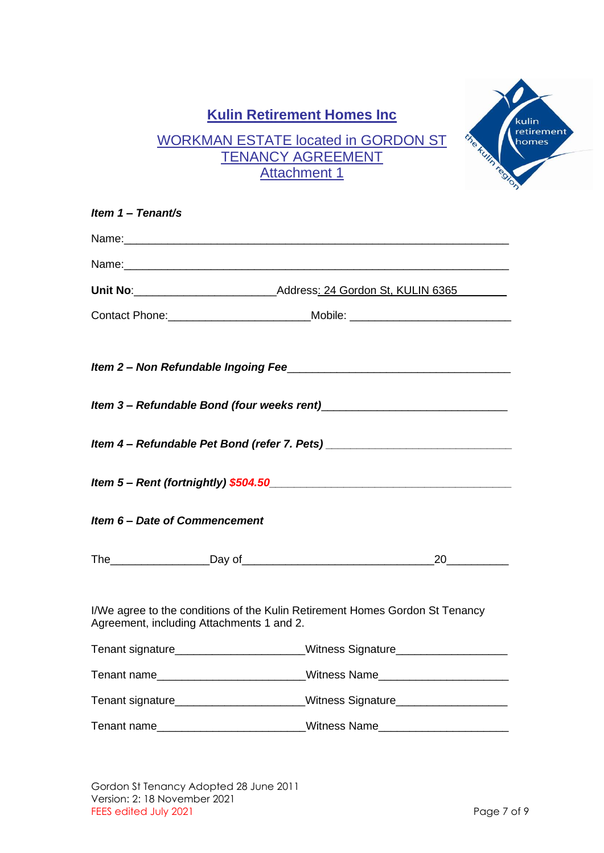## WORKMAN ESTATE located in GORDON ST TENANCY AGREEMENT Attachment 1



kulin retirement homes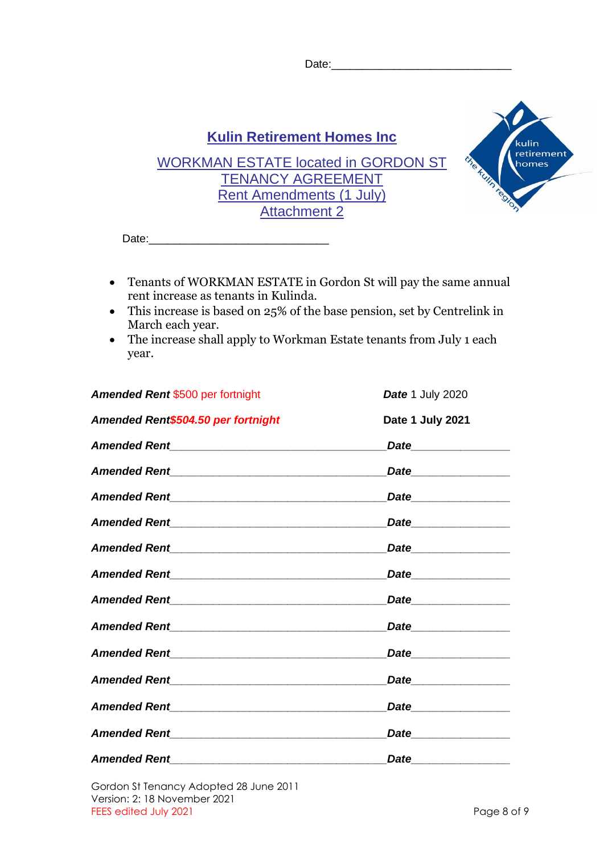Date:



- Tenants of WORKMAN ESTATE in Gordon St will pay the same annual rent increase as tenants in Kulinda.
- This increase is based on 25% of the base pension, set by Centrelink in March each year.
- The increase shall apply to Workman Estate tenants from July 1 each year.

| Amended Rent \$500 per fortnight                                                                                 | Date 1 July 2020               |
|------------------------------------------------------------------------------------------------------------------|--------------------------------|
| Amended Rent\$504.50 per fortnight                                                                               | Date 1 July 2021               |
|                                                                                                                  |                                |
|                                                                                                                  | <i>Date</i> _________________  |
|                                                                                                                  |                                |
|                                                                                                                  | Date__________________         |
|                                                                                                                  | Date_________________          |
| Amended Rent New York Contract of the American Second Seconds American Seconds American Seconds American Seconds | Date ________________          |
|                                                                                                                  | Date__________________         |
|                                                                                                                  |                                |
|                                                                                                                  | <i>Date</i> __________________ |
|                                                                                                                  | <i>Date</i> 2008               |
|                                                                                                                  | Date___________________        |
|                                                                                                                  |                                |
|                                                                                                                  | Date_________________          |